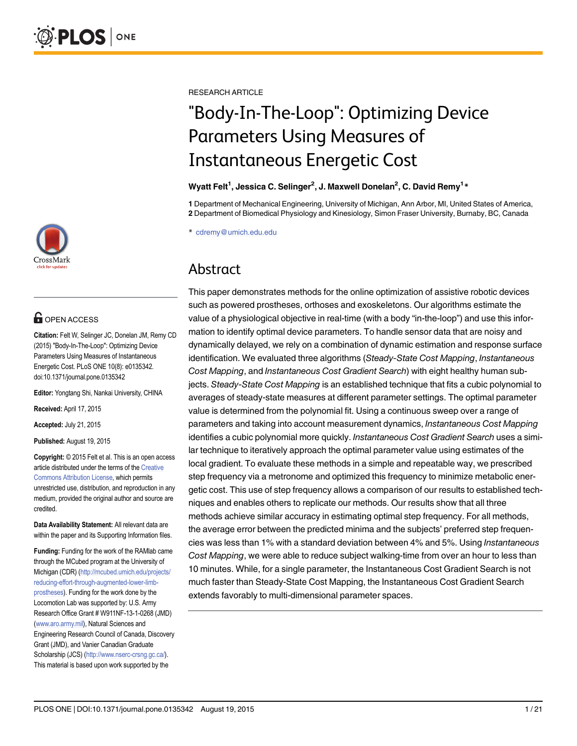

# **G** OPEN ACCESS

Citation: Felt W, Selinger JC, Donelan JM, Remy CD (2015) "Body-In-The-Loop": Optimizing Device Parameters Using Measures of Instantaneous Energetic Cost. PLoS ONE 10(8): e0135342. doi:10.1371/journal.pone.0135342

Editor: Yongtang Shi, Nankai University, CHINA

Received: April 17, 2015

Accepted: July 21, 2015

Published: August 19, 2015

Copyright: © 2015 Felt et al. This is an open access article distributed under the terms of the [Creative](http://creativecommons.org/licenses/by/4.0/) [Commons Attribution License](http://creativecommons.org/licenses/by/4.0/), which permits unrestricted use, distribution, and reproduction in any medium, provided the original author and source are credited.

Data Availability Statement: All relevant data are within the paper and its Supporting Information files.

Funding: Funding for the work of the RAMlab came through the MCubed program at the University of Michigan (CDR) [\(http://mcubed.umich.edu/projects/](http://mcubed.umich.edu/projects/reducing-effort-through-augmented-lower-limb-prostheses) [reducing-effort-through-augmented-lower-limb](http://mcubed.umich.edu/projects/reducing-effort-through-augmented-lower-limb-prostheses)[prostheses](http://mcubed.umich.edu/projects/reducing-effort-through-augmented-lower-limb-prostheses)). Funding for the work done by the Locomotion Lab was supported by: U.S. Army Research Office Grant # W911NF-13-1-0268 (JMD) [\(www.aro.army.mil](http://www.aro.army.mil)), Natural Sciences and Engineering Research Council of Canada, Discovery Grant (JMD), and Vanier Canadian Graduate Scholarship (JCS) ([http://www.nserc-crsng.gc.ca/\)](http://www.nserc-crsng.gc.ca/). This material is based upon work supported by the

RESEARCH ARTICLE

# "Body-In-The-Loop": Optimizing Device Parameters Using Measures of Instantaneous Energetic Cost

#### Wyatt Felt<sup>1</sup>, Jessica C. Selinger<sup>2</sup>, J. Maxwell Donelan<sup>2</sup>, C. David Remy<sup>1</sup> \*

1 Department of Mechanical Engineering, University of Michigan, Ann Arbor, MI, United States of America, 2 Department of Biomedical Physiology and Kinesiology, Simon Fraser University, Burnaby, BC, Canada

\* cdremy@umich.edu.edu

# Abstract

This paper demonstrates methods for the online optimization of assistive robotic devices such as powered prostheses, orthoses and exoskeletons. Our algorithms estimate the value of a physiological objective in real-time (with a body "in-the-loop") and use this information to identify optimal device parameters. To handle sensor data that are noisy and dynamically delayed, we rely on a combination of dynamic estimation and response surface identification. We evaluated three algorithms (Steady-State Cost Mapping, Instantaneous Cost Mapping, and Instantaneous Cost Gradient Search) with eight healthy human subjects. Steady-State Cost Mapping is an established technique that fits a cubic polynomial to averages of steady-state measures at different parameter settings. The optimal parameter value is determined from the polynomial fit. Using a continuous sweep over a range of parameters and taking into account measurement dynamics, Instantaneous Cost Mapping identifies a cubic polynomial more quickly. Instantaneous Cost Gradient Search uses a similar technique to iteratively approach the optimal parameter value using estimates of the local gradient. To evaluate these methods in a simple and repeatable way, we prescribed step frequency via a metronome and optimized this frequency to minimize metabolic energetic cost. This use of step frequency allows a comparison of our results to established techniques and enables others to replicate our methods. Our results show that all three methods achieve similar accuracy in estimating optimal step frequency. For all methods, the average error between the predicted minima and the subjects' preferred step frequencies was less than 1% with a standard deviation between 4% and 5%. Using Instantaneous Cost Mapping, we were able to reduce subject walking-time from over an hour to less than 10 minutes. While, for a single parameter, the Instantaneous Cost Gradient Search is not much faster than Steady-State Cost Mapping, the Instantaneous Cost Gradient Search extends favorably to multi-dimensional parameter spaces.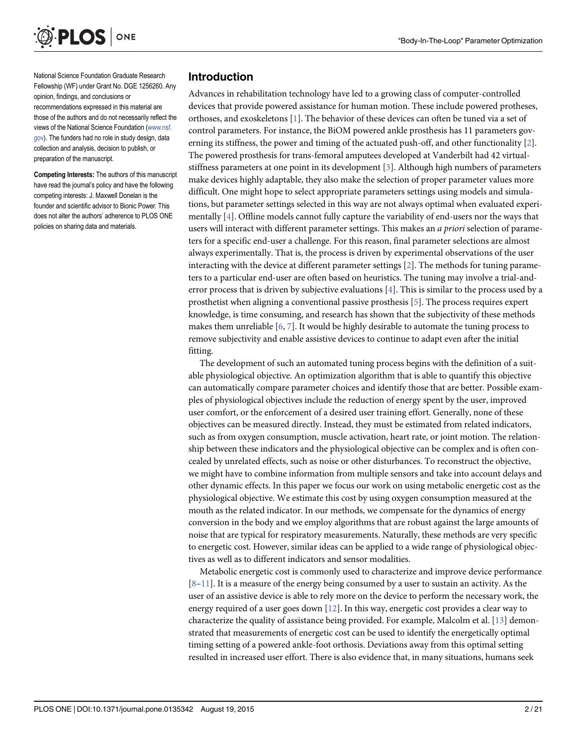<span id="page-1-0"></span>

National Science Foundation Graduate Research Fellowship (WF) under Grant No. DGE 1256260. Any opinion, findings, and conclusions or recommendations expressed in this material are those of the authors and do not necessarily reflect the views of the National Science Foundation ([www.nsf.](http://www.nsf.gov) [gov](http://www.nsf.gov)). The funders had no role in study design, data collection and analysis, decision to publish, or preparation of the manuscript.

Competing Interests: The authors of this manuscript have read the journal's policy and have the following competing interests: J. Maxwell Donelan is the founder and scientific advisor to Bionic Power. This does not alter the authors' adherence to PLOS ONE policies on sharing data and materials.

#### Introduction

Advances in rehabilitation technology have led to a growing class of computer-controlled devices that provide powered assistance for human motion. These include powered protheses, orthoses, and exoskeletons [\[1\]](#page-19-0). The behavior of these devices can often be tuned via a set of control parameters. For instance, the BiOM powered ankle prosthesis has 11 parameters governing its stiffness, the power and timing of the actuated push-off, and other functionality  $[2]$  $[2]$ . The powered prosthesis for trans-femoral amputees developed at Vanderbilt had 42 virtualstiffness parameters at one point in its development [[3](#page-19-0)]. Although high numbers of parameters make devices highly adaptable, they also make the selection of proper parameter values more difficult. One might hope to select appropriate parameters settings using models and simulations, but parameter settings selected in this way are not always optimal when evaluated experimentally [\[4](#page-19-0)]. Offline models cannot fully capture the variability of end-users nor the ways that users will interact with different parameter settings. This makes an a priori selection of parameters for a specific end-user a challenge. For this reason, final parameter selections are almost always experimentally. That is, the process is driven by experimental observations of the user interacting with the device at different parameter settings [[2](#page-19-0)]. The methods for tuning parameters to a particular end-user are often based on heuristics. The tuning may involve a trial-anderror process that is driven by subjective evaluations  $[4]$  $[4]$ . This is similar to the process used by a prosthetist when aligning a conventional passive prosthesis [\[5](#page-19-0)]. The process requires expert knowledge, is time consuming, and research has shown that the subjectivity of these methods makes them unreliable [[6](#page-19-0), [7\]](#page-19-0). It would be highly desirable to automate the tuning process to remove subjectivity and enable assistive devices to continue to adapt even after the initial fitting.

The development of such an automated tuning process begins with the definition of a suitable physiological objective. An optimization algorithm that is able to quantify this objective can automatically compare parameter choices and identify those that are better. Possible examples of physiological objectives include the reduction of energy spent by the user, improved user comfort, or the enforcement of a desired user training effort. Generally, none of these objectives can be measured directly. Instead, they must be estimated from related indicators, such as from oxygen consumption, muscle activation, heart rate, or joint motion. The relationship between these indicators and the physiological objective can be complex and is often concealed by unrelated effects, such as noise or other disturbances. To reconstruct the objective, we might have to combine information from multiple sensors and take into account delays and other dynamic effects. In this paper we focus our work on using metabolic energetic cost as the physiological objective. We estimate this cost by using oxygen consumption measured at the mouth as the related indicator. In our methods, we compensate for the dynamics of energy conversion in the body and we employ algorithms that are robust against the large amounts of noise that are typical for respiratory measurements. Naturally, these methods are very specific to energetic cost. However, similar ideas can be applied to a wide range of physiological objectives as well as to different indicators and sensor modalities.

Metabolic energetic cost is commonly used to characterize and improve device performance  $[8-11]$  $[8-11]$  $[8-11]$ . It is a measure of the energy being consumed by a user to sustain an activity. As the user of an assistive device is able to rely more on the device to perform the necessary work, the energy required of a user goes down  $[12]$ . In this way, energetic cost provides a clear way to characterize the quality of assistance being provided. For example, Malcolm et al. [\[13](#page-20-0)] demonstrated that measurements of energetic cost can be used to identify the energetically optimal timing setting of a powered ankle-foot orthosis. Deviations away from this optimal setting resulted in increased user effort. There is also evidence that, in many situations, humans seek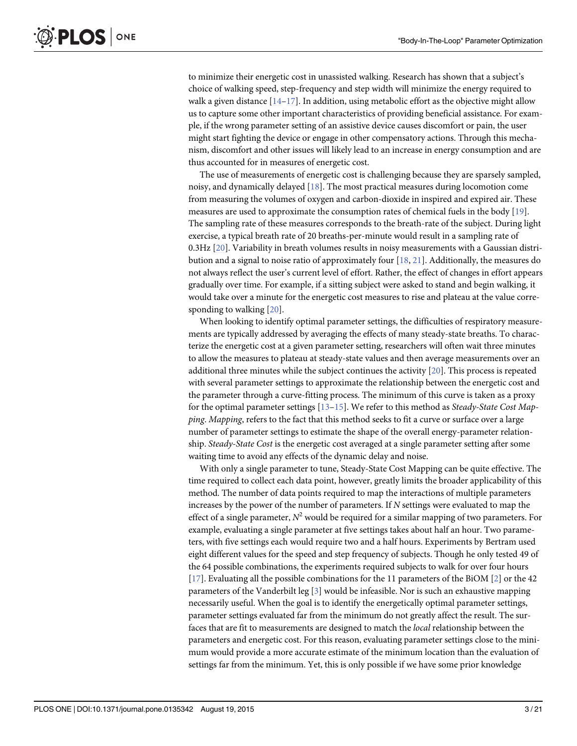<span id="page-2-0"></span>to minimize their energetic cost in unassisted walking. Research has shown that a subject's choice of walking speed, step-frequency and step width will minimize the energy required to walk a given distance  $[14-17]$  $[14-17]$  $[14-17]$  $[14-17]$ . In addition, using metabolic effort as the objective might allow us to capture some other important characteristics of providing beneficial assistance. For example, if the wrong parameter setting of an assistive device causes discomfort or pain, the user might start fighting the device or engage in other compensatory actions. Through this mechanism, discomfort and other issues will likely lead to an increase in energy consumption and are thus accounted for in measures of energetic cost.

The use of measurements of energetic cost is challenging because they are sparsely sampled, noisy, and dynamically delayed [\[18](#page-20-0)]. The most practical measures during locomotion come from measuring the volumes of oxygen and carbon-dioxide in inspired and expired air. These measures are used to approximate the consumption rates of chemical fuels in the body [[19](#page-20-0)]. The sampling rate of these measures corresponds to the breath-rate of the subject. During light exercise, a typical breath rate of 20 breaths-per-minute would result in a sampling rate of 0.3Hz [\[20\]](#page-20-0). Variability in breath volumes results in noisy measurements with a Gaussian distribution and a signal to noise ratio of approximately four [\[18,](#page-20-0) [21\]](#page-20-0). Additionally, the measures do not always reflect the user's current level of effort. Rather, the effect of changes in effort appears gradually over time. For example, if a sitting subject were asked to stand and begin walking, it would take over a minute for the energetic cost measures to rise and plateau at the value corresponding to walking [\[20\]](#page-20-0).

When looking to identify optimal parameter settings, the difficulties of respiratory measurements are typically addressed by averaging the effects of many steady-state breaths. To characterize the energetic cost at a given parameter setting, researchers will often wait three minutes to allow the measures to plateau at steady-state values and then average measurements over an additional three minutes while the subject continues the activity [[20\]](#page-20-0). This process is repeated with several parameter settings to approximate the relationship between the energetic cost and the parameter through a curve-fitting process. The minimum of this curve is taken as a proxy for the optimal parameter settings  $[13-15]$  $[13-15]$  $[13-15]$ . We refer to this method as *Steady-State Cost Map*ping. Mapping, refers to the fact that this method seeks to fit a curve or surface over a large number of parameter settings to estimate the shape of the overall energy-parameter relationship. Steady-State Cost is the energetic cost averaged at a single parameter setting after some waiting time to avoid any effects of the dynamic delay and noise.

With only a single parameter to tune, Steady-State Cost Mapping can be quite effective. The time required to collect each data point, however, greatly limits the broader applicability of this method. The number of data points required to map the interactions of multiple parameters increases by the power of the number of parameters. If N settings were evaluated to map the effect of a single parameter,  $N^2$  would be required for a similar mapping of two parameters. For example, evaluating a single parameter at five settings takes about half an hour. Two parameters, with five settings each would require two and a half hours. Experiments by Bertram used eight different values for the speed and step frequency of subjects. Though he only tested 49 of the 64 possible combinations, the experiments required subjects to walk for over four hours [\[17](#page-20-0)]. Evaluating all the possible combinations for the 11 parameters of the BiOM [\[2](#page-19-0)] or the 42 parameters of the Vanderbilt leg  $[3]$  $[3]$  $[3]$  would be infeasible. Nor is such an exhaustive mapping necessarily useful. When the goal is to identify the energetically optimal parameter settings, parameter settings evaluated far from the minimum do not greatly affect the result. The surfaces that are fit to measurements are designed to match the local relationship between the parameters and energetic cost. For this reason, evaluating parameter settings close to the minimum would provide a more accurate estimate of the minimum location than the evaluation of settings far from the minimum. Yet, this is only possible if we have some prior knowledge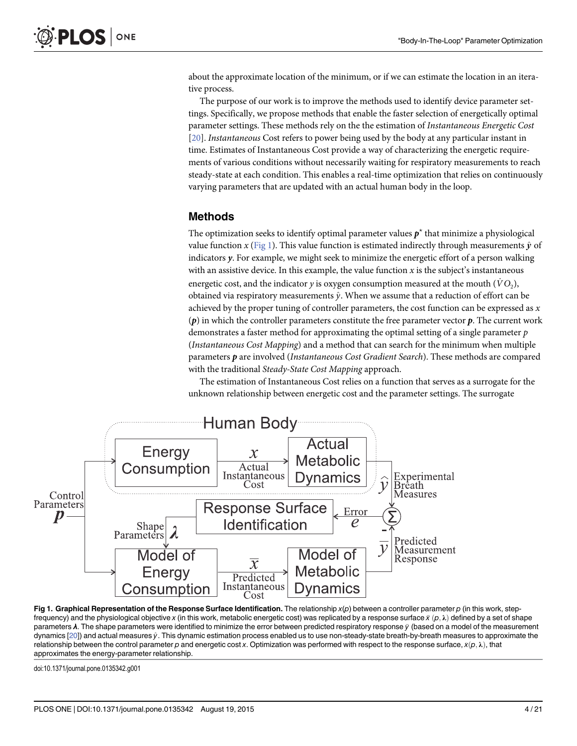about the approximate location of the minimum, or if we can estimate the location in an iterative process.

The purpose of our work is to improve the methods used to identify device parameter settings. Specifically, we propose methods that enable the faster selection of energetically optimal parameter settings. These methods rely on the the estimation of Instantaneous Energetic Cost [\[20](#page-20-0)]. Instantaneous Cost refers to power being used by the body at any particular instant in time. Estimates of Instantaneous Cost provide a way of characterizing the energetic requirements of various conditions without necessarily waiting for respiratory measurements to reach steady-state at each condition. This enables a real-time optimization that relies on continuously varying parameters that are updated with an actual human body in the loop.

# Methods

The optimization seeks to identify optimal parameter values  $p^*$  that minimize a physiological value function x (Fig 1). This value function is estimated indirectly through measurements  $\hat{v}$  of indicators  $y$ . For example, we might seek to minimize the energetic effort of a person walking with an assistive device. In this example, the value function  $x$  is the subject's instantaneous energetic cost, and the indicator y is oxygen consumption measured at the mouth  $(\dot{V}O_2)$ , obtained via respiratory measurements  $\hat{y}$ . When we assume that a reduction of effort can be achieved by the proper tuning of controller parameters, the cost function can be expressed as  $x$  $(p)$  in which the controller parameters constitute the free parameter vector  $p$ . The current work demonstrates a faster method for approximating the optimal setting of a single parameter  $p$ (Instantaneous Cost Mapping) and a method that can search for the minimum when multiple parameters  $p$  are involved (Instantaneous Cost Gradient Search). These methods are compared with the traditional Steady-State Cost Mapping approach.

The estimation of Instantaneous Cost relies on a function that serves as a surrogate for the unknown relationship between energetic cost and the parameter settings. The surrogate



Fig 1. Graphical Representation of the Response Surface Identification. The relationship  $x(p)$  between a controller parameter p (in this work, stepfrequency) and the physiological objective x (in this work, metabolic energetic cost) was replicated by a response surface  $\bar{x}$   $(p, \lambda)$  defined by a set of shape parameters  $\lambda$ . The shape parameters were identified to minimize the error between predicted respiratory response  $\bar{y}$  (based on a model of the measurement dynamics [<u>20])</u> and actual measures  $\hat{y}$ . This dynamic estimation process enabled us to use non-steady-state breath-by-breath measures to approximate the relationship between the control parameter  $p$  and energetic cost  $x$ . Optimization was performed with respect to the response surface,  $x(\rho,\lambda)$ , that approximates the energy-parameter relationship.

doi:10.1371/journal.pone.0135342.g001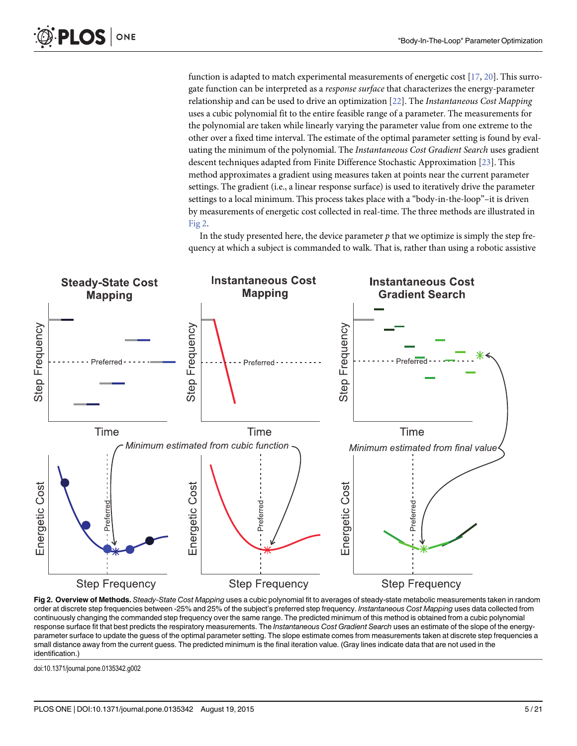function is adapted to match experimental measurements of energetic cost  $[17, 20]$  $[17, 20]$  $[17, 20]$  $[17, 20]$  $[17, 20]$ . This surrogate function can be interpreted as a response surface that characterizes the energy-parameter relationship and can be used to drive an optimization  $[22]$  $[22]$ . The *Instantaneous Cost Mapping* uses a cubic polynomial fit to the entire feasible range of a parameter. The measurements for the polynomial are taken while linearly varying the parameter value from one extreme to the other over a fixed time interval. The estimate of the optimal parameter setting is found by evaluating the minimum of the polynomial. The Instantaneous Cost Gradient Search uses gradient descent techniques adapted from Finite Difference Stochastic Approximation [\[23](#page-20-0)]. This method approximates a gradient using measures taken at points near the current parameter settings. The gradient (i.e., a linear response surface) is used to iteratively drive the parameter settings to a local minimum. This process takes place with a "body-in-the-loop"–it is driven by measurements of energetic cost collected in real-time. The three methods are illustrated in Fig 2.

In the study presented here, the device parameter  $p$  that we optimize is simply the step frequency at which a subject is commanded to walk. That is, rather than using a robotic assistive



Fig 2. Overview of Methods. Steady-State Cost Mapping uses a cubic polynomial fit to averages of steady-state metabolic measurements taken in random order at discrete step frequencies between -25% and 25% of the subject's preferred step frequency. Instantaneous Cost Mapping uses data collected from continuously changing the commanded step frequency over the same range. The predicted minimum of this method is obtained from a cubic polynomial response surface fit that best predicts the respiratory measurements. The Instantaneous Cost Gradient Search uses an estimate of the slope of the energyparameter surface to update the guess of the optimal parameter setting. The slope estimate comes from measurements taken at discrete step frequencies a small distance away from the current guess. The predicted minimum is the final iteration value. (Gray lines indicate data that are not used in the identification.)

doi:10.1371/journal.pone.0135342.g002

<span id="page-4-0"></span> $PLOS$  ONE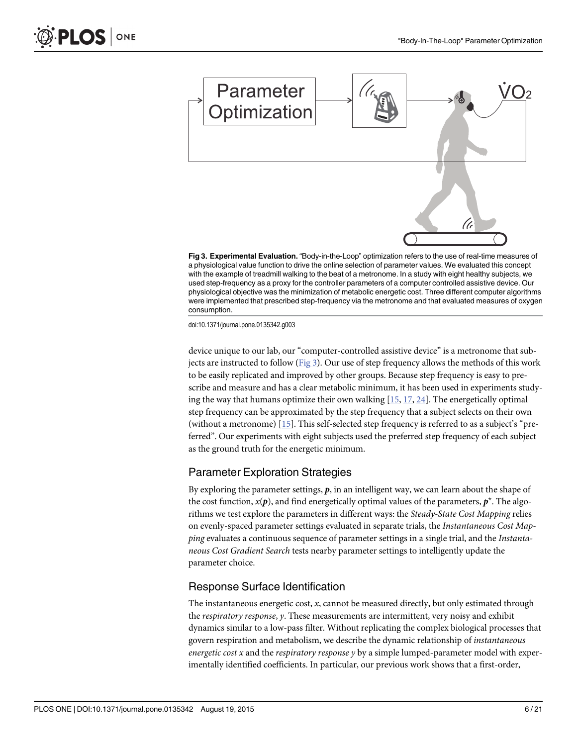

Fig 3. Experimental Evaluation. "Body-in-the-Loop" optimization refers to the use of real-time measures of a physiological value function to drive the online selection of parameter values. We evaluated this concept with the example of treadmill walking to the beat of a metronome. In a study with eight healthy subjects, we used step-frequency as a proxy for the controller parameters of a computer controlled assistive device. Our physiological objective was the minimization of metabolic energetic cost. Three different computer algorithms were implemented that prescribed step-frequency via the metronome and that evaluated measures of oxygen consumption.

doi:10.1371/journal.pone.0135342.g003

device unique to our lab, our "computer-controlled assistive device" is a metronome that subjects are instructed to follow ( $Fig 3$ ). Our use of step frequency allows the methods of this work to be easily replicated and improved by other groups. Because step frequency is easy to prescribe and measure and has a clear metabolic minimum, it has been used in experiments studying the way that humans optimize their own walking  $[15, 17, 24]$  $[15, 17, 24]$  $[15, 17, 24]$  $[15, 17, 24]$  $[15, 17, 24]$ . The energetically optimal step frequency can be approximated by the step frequency that a subject selects on their own (without a metronome) [[15\]](#page-20-0). This self-selected step frequency is referred to as a subject's "preferred". Our experiments with eight subjects used the preferred step frequency of each subject as the ground truth for the energetic minimum.

#### Parameter Exploration Strategies

By exploring the parameter settings,  $p$ , in an intelligent way, we can learn about the shape of the cost function,  $x(\boldsymbol{p})$ , and find energetically optimal values of the parameters,  $\boldsymbol{p}^\star$ . The algorithms we test explore the parameters in different ways: the Steady-State Cost Mapping relies on evenly-spaced parameter settings evaluated in separate trials, the Instantaneous Cost Mapping evaluates a continuous sequence of parameter settings in a single trial, and the Instantaneous Cost Gradient Search tests nearby parameter settings to intelligently update the parameter choice.

#### Response Surface Identification

The instantaneous energetic cost, x, cannot be measured directly, but only estimated through the respiratory response, y. These measurements are intermittent, very noisy and exhibit dynamics similar to a low-pass filter. Without replicating the complex biological processes that govern respiration and metabolism, we describe the dynamic relationship of instantaneous energetic cost  $x$  and the respiratory response  $y$  by a simple lumped-parameter model with experimentally identified coefficients. In particular, our previous work shows that a first-order,

ONE

<span id="page-5-0"></span>OS I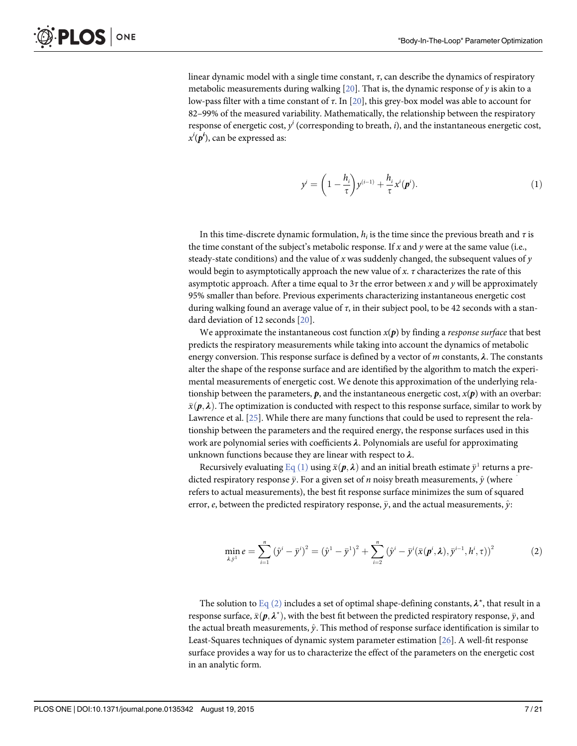<span id="page-6-0"></span>linear dynamic model with a single time constant,  $\tau$ , can describe the dynamics of respiratory metabolic measurements during walking  $[20]$  $[20]$  $[20]$ . That is, the dynamic response of y is akin to a low-pass filter with a time constant of  $\tau$ . In [\[20\]](#page-20-0), this grey-box model was able to account for 82–99% of the measured variability. Mathematically, the relationship between the respiratory response of energetic cost,  $y^i$  (corresponding to breath,  $i$ ), and the instantaneous energetic cost,  $x^{i}(\boldsymbol{p}^{i})$ , can be expressed as:

$$
y^{i} = \left(1 - \frac{h_{i}}{\tau}\right) y^{(i-1)} + \frac{h_{i}}{\tau} x^{i}(\boldsymbol{p}^{i}).
$$
\n(1)

In this time-discrete dynamic formulation,  $h_i$  is the time since the previous breath and  $\tau$  is the time constant of the subject's metabolic response. If x and y were at the same value (i.e., steady-state conditions) and the value of x was suddenly changed, the subsequent values of  $y$ would begin to asymptotically approach the new value of x.  $\tau$  characterizes the rate of this asymptotic approach. After a time equal to  $3\tau$  the error between x and y will be approximately 95% smaller than before. Previous experiments characterizing instantaneous energetic cost during walking found an average value of  $\tau$ , in their subject pool, to be 42 seconds with a standard deviation of 12 seconds [[20](#page-20-0)].

We approximate the instantaneous cost function  $x(p)$  by finding a *response surface* that best predicts the respiratory measurements while taking into account the dynamics of metabolic energy conversion. This response surface is defined by a vector of  $m$  constants,  $\lambda$ . The constants alter the shape of the response surface and are identified by the algorithm to match the experimental measurements of energetic cost. We denote this approximation of the underlying relationship between the parameters,  $p$ , and the instantaneous energetic cost,  $x(p)$  with an overbar:  $\bar{x}(\mathbf{p}, \lambda)$ . The optimization is conducted with respect to this response surface, similar to work by Lawrence et al. [\[25\]](#page-20-0). While there are many functions that could be used to represent the relationship between the parameters and the required energy, the response surfaces used in this work are polynomial series with coefficients  $\lambda$ . Polynomials are useful for approximating unknown functions because they are linear with respect to  $\lambda$ .

Recursively evaluating  $\underline{\text{Eq}}$  (1) using  $\bar{x}(\bm{p},\bm{\lambda})$  and an initial breath estimate  $\bar{y}^1$  returns a predicted respiratory response  $\bar{y}.$  For a given set of  $n$  noisy breath measurements,  $\hat{y}$  (where  $\hat{ }$ refers to actual measurements), the best fit response surface minimizes the sum of squared error,  $e$ , between the predicted respiratory response,  $\bar{y},$  and the actual measurements,  $\hat{y}$ :

$$
\min_{\lambda,\bar{y}^1} e = \sum_{i=1}^n (\hat{y}^i - \bar{y}^i)^2 = (\hat{y}^1 - \bar{y}^1)^2 + \sum_{i=2}^n (\hat{y}^i - \bar{y}^i(\bar{x}(\bm{p}^i,\lambda), \bar{y}^{i-1},h^i,\tau))^2
$$
(2)

The solution to  $\underline{\text{Eq}}$  (2) includes a set of optimal shape-defining constants,  $\lambda^\star$ , that result in a response surface,  $\bar{x}(\pmb{p},\pmb{\lambda}^{\star})$ , with the best fit between the predicted respiratory response,  $\bar{y}$ , and the actual breath measurements,  $\hat{v}$ . This method of response surface identification is similar to Least-Squares techniques of dynamic system parameter estimation [\[26\]](#page-20-0). A well-fit response surface provides a way for us to characterize the effect of the parameters on the energetic cost in an analytic form.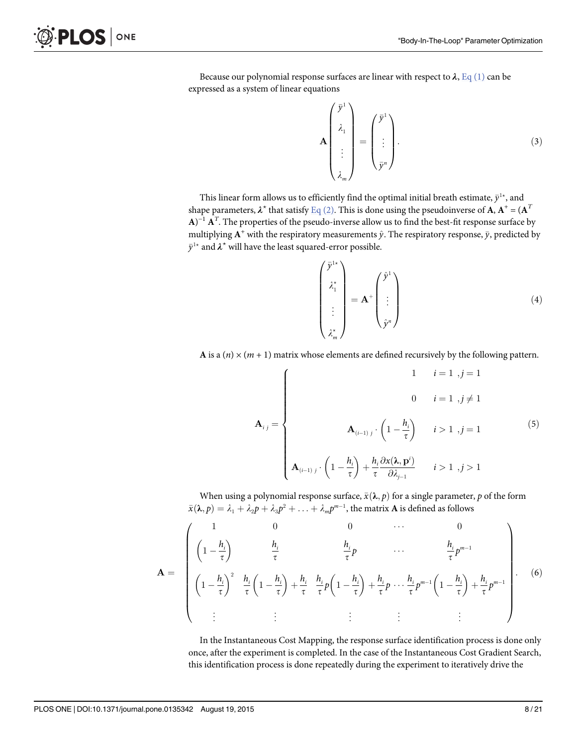Because our polynomial response surfaces are linear with respect to  $\lambda$ , [Eq \(1\)](#page-6-0) can be expressed as a system of linear equations

$$
\mathbf{A} \begin{pmatrix} \bar{\mathbf{y}}^1 \\ \lambda_1 \\ \vdots \\ \lambda_m \end{pmatrix} = \begin{pmatrix} \bar{\mathbf{y}}^1 \\ \vdots \\ \bar{\mathbf{y}}^n \end{pmatrix} . \tag{3}
$$

This linear form allows us to efficiently find the optimal initial breath estimate,  $\bar{y}^{1\star}$ , and shape parameters,  $\lambda^*$  that satisfy [Eq \(2\).](#page-6-0) This is done using the pseudoinverse of A,  $A^+ = (A^T)$  $A$ )<sup>-1</sup>  $A<sup>T</sup>$ . The properties of the pseudo-inverse allow us to find the best-fit response surface by multiplying  $\mathbf{A}^{+}$  with the respiratory measurements  $\hat{y}$ . The respiratory response,  $\bar{y}$ , predicted by  $\bar{y}^{1\star}$  and  $\lambda^\star$  will have the least squared-error possible.

$$
\begin{pmatrix} \bar{\mathbf{y}}^{1*} \\ \lambda_1^* \\ \vdots \\ \lambda_m^* \end{pmatrix} = \mathbf{A}^+ \begin{pmatrix} \hat{\mathbf{y}}^1 \\ \vdots \\ \hat{\mathbf{y}}^n \end{pmatrix}
$$
 (4)

A is a (n)  $\times$  (m + 1) matrix whose elements are defined recursively by the following pattern.

$$
\mathbf{A}_{ij} = \begin{cases}\n1 & i = 1, j = 1 \\
0 & i = 1, j \neq 1\n\end{cases}
$$
\n
$$
\mathbf{A}_{(i-1)j} \cdot \left(1 - \frac{h_i}{\tau}\right) \quad i > 1, j = 1\n\tag{5}
$$
\n
$$
\mathbf{A}_{(i-1)j} \cdot \left(1 - \frac{h_i}{\tau}\right) + \frac{h_i}{\tau} \frac{\partial x(\lambda, \mathbf{p}^i)}{\partial \lambda_{j-1}} \quad i > 1, j > 1
$$

When using a polynomial response surface,  $\bar{x}(\lambda, p)$  for a single parameter,  $p$  of the form  $\bar{x}(\lambda, p) = \lambda_1 + \lambda_2 p + \lambda_3 p^2 + \ldots + \lambda_m p^{m-1}$ , the matrix **A** is defined as follows

$$
\mathbf{A} = \begin{pmatrix} 1 & 0 & 0 & \cdots & 0 \\ \left(1 - \frac{h_i}{\tau}\right) & \frac{h_i}{\tau} & \frac{h_i}{\tau} p & \cdots & \frac{h_i}{\tau} p^{m-1} \\ \left(1 - \frac{h_i}{\tau}\right)^2 & \frac{h_i}{\tau} \left(1 - \frac{h_i}{\tau}\right) + \frac{h_i}{\tau} & \frac{h_i}{\tau} p \left(1 - \frac{h_i}{\tau}\right) + \frac{h_i}{\tau} p & \cdots & \frac{h_i}{\tau} p^{m-1} \left(1 - \frac{h_i}{\tau}\right) + \frac{h_i}{\tau} p^{m-1} \\ \vdots & \vdots & \vdots & \vdots & \vdots \end{pmatrix} . \tag{6}
$$

In the Instantaneous Cost Mapping, the response surface identification process is done only once, after the experiment is completed. In the case of the Instantaneous Cost Gradient Search, this identification process is done repeatedly during the experiment to iteratively drive the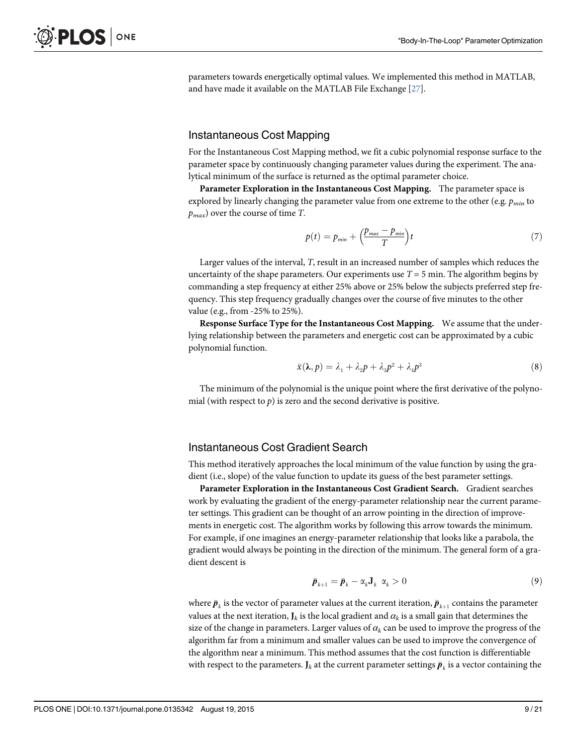<span id="page-8-0"></span>parameters towards energetically optimal values. We implemented this method in MATLAB, and have made it available on the MATLAB File Exchange [[27](#page-20-0)].

# Instantaneous Cost Mapping

For the Instantaneous Cost Mapping method, we fit a cubic polynomial response surface to the parameter space by continuously changing parameter values during the experiment. The analytical minimum of the surface is returned as the optimal parameter choice.

Parameter Exploration in the Instantaneous Cost Mapping. The parameter space is explored by linearly changing the parameter value from one extreme to the other (e.g.  $p_{min}$  to  $p_{max}$ ) over the course of time T.

$$
p(t) = p_{min} + \left(\frac{p_{max} - p_{min}}{T}\right)t
$$
\n(7)

Larger values of the interval, T, result in an increased number of samples which reduces the uncertainty of the shape parameters. Our experiments use  $T = 5$  min. The algorithm begins by commanding a step frequency at either 25% above or 25% below the subjects preferred step frequency. This step frequency gradually changes over the course of five minutes to the other value (e.g., from -25% to 25%).

Response Surface Type for the Instantaneous Cost Mapping. We assume that the underlying relationship between the parameters and energetic cost can be approximated by a cubic polynomial function.

$$
\bar{x}(\lambda, p) = \lambda_1 + \lambda_2 p + \lambda_3 p^2 + \lambda_4 p^3 \tag{8}
$$

The minimum of the polynomial is the unique point where the first derivative of the polynomial (with respect to  $p$ ) is zero and the second derivative is positive.

# Instantaneous Cost Gradient Search

This method iteratively approaches the local minimum of the value function by using the gradient (i.e., slope) of the value function to update its guess of the best parameter settings.

Parameter Exploration in the Instantaneous Cost Gradient Search. Gradient searches work by evaluating the gradient of the energy-parameter relationship near the current parameter settings. This gradient can be thought of an arrow pointing in the direction of improvements in energetic cost. The algorithm works by following this arrow towards the minimum. For example, if one imagines an energy-parameter relationship that looks like a parabola, the gradient would always be pointing in the direction of the minimum. The general form of a gradient descent is

$$
\bar{\boldsymbol{p}}_{k+1} = \bar{\boldsymbol{p}}_k - \alpha_k \mathbf{J}_k \ \alpha_k > 0 \tag{9}
$$

where  $\bar{\bm{p}}_k$  is the vector of parameter values at the current iteration,  $\bar{\bm{p}}_{k+1}$  contains the parameter values at the next iteration,  $J_k$  is the local gradient and  $\alpha_k$  is a small gain that determines the size of the change in parameters. Larger values of  $\alpha_k$  can be used to improve the progress of the algorithm far from a minimum and smaller values can be used to improve the convergence of the algorithm near a minimum. This method assumes that the cost function is differentiable with respect to the parameters.  $J_k$  at the current parameter settings  $\bar{p}_k$  is a vector containing the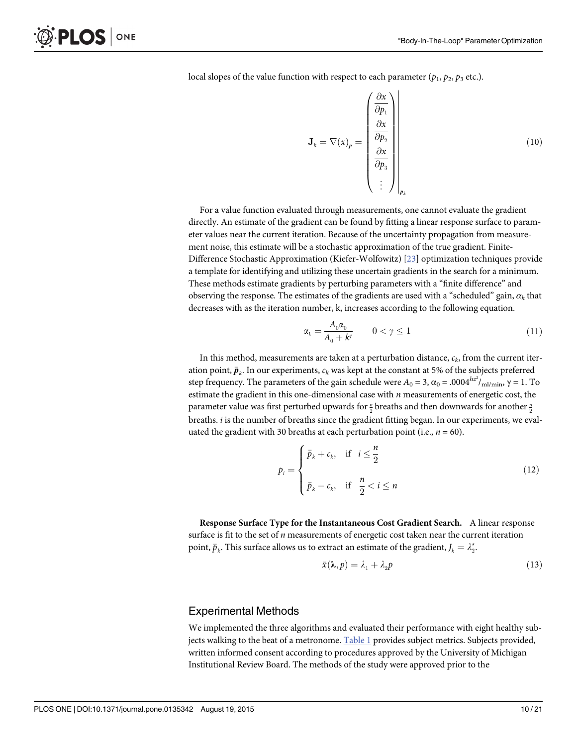<span id="page-9-0"></span>local slopes of the value function with respect to each parameter  $(p_1, p_2, p_3$  etc.).

$$
\mathbf{J}_{k} = \nabla(x)_{p} = \begin{pmatrix} \frac{\partial x}{\partial p_{1}} \\ \frac{\partial x}{\partial p_{2}} \\ \frac{\partial x}{\partial p_{3}} \\ \vdots \end{pmatrix}_{\bar{p}_{k}}
$$
(10)

For a value function evaluated through measurements, one cannot evaluate the gradient directly. An estimate of the gradient can be found by fitting a linear response surface to parameter values near the current iteration. Because of the uncertainty propagation from measurement noise, this estimate will be a stochastic approximation of the true gradient. Finite-Difference Stochastic Approximation (Kiefer-Wolfowitz) [[23](#page-20-0)] optimization techniques provide a template for identifying and utilizing these uncertain gradients in the search for a minimum. These methods estimate gradients by perturbing parameters with a "finite difference" and observing the response. The estimates of the gradients are used with a "scheduled" gain,  $\alpha_k$  that decreases with as the iteration number, k, increases according to the following equation.

$$
\alpha_k = \frac{A_0 \alpha_0}{A_0 + k^{\gamma}} \qquad 0 < \gamma \le 1 \tag{11}
$$

In this method, measurements are taken at a perturbation distance,  $c_k$ , from the current iteration point,  $\bar{p}_k$ . In our experiments,  $c_k$  was kept at the constant at 5% of the subjects preferred step frequency. The parameters of the gain schedule were  $A_0$  = 3, α $_0$  = .0004 $^{hz^2/}$ <sub>ml/min</sub>, γ = 1. To estimate the gradient in this one-dimensional case with  $n$  measurements of energetic cost, the parameter value was first perturbed upwards for  $\frac{n}{2}$  breaths and then downwards for another  $\frac{n}{2}$ breaths. i is the number of breaths since the gradient fitting began. In our experiments, we evaluated the gradient with 30 breaths at each perturbation point (i.e.,  $n = 60$ ).

$$
p_i = \begin{cases} \bar{p}_k + c_k, & \text{if } i \leq \frac{n}{2} \\ \bar{p}_k - c_k, & \text{if } \frac{n}{2} < i \leq n \end{cases}
$$
 (12)

Response Surface Type for the Instantaneous Cost Gradient Search. A linear response surface is fit to the set of  $n$  measurements of energetic cost taken near the current iteration point,  $\bar{p}_k$ . This surface allows us to extract an estimate of the gradient,  $J_k = \lambda_2^{\star}$ .

$$
\bar{x}(\lambda, p) = \lambda_1 + \lambda_2 p \tag{13}
$$

#### Experimental Methods

We implemented the three algorithms and evaluated their performance with eight healthy sub-jects walking to the beat of a metronome. [Table 1](#page-10-0) provides subject metrics. Subjects provided, written informed consent according to procedures approved by the University of Michigan Institutional Review Board. The methods of the study were approved prior to the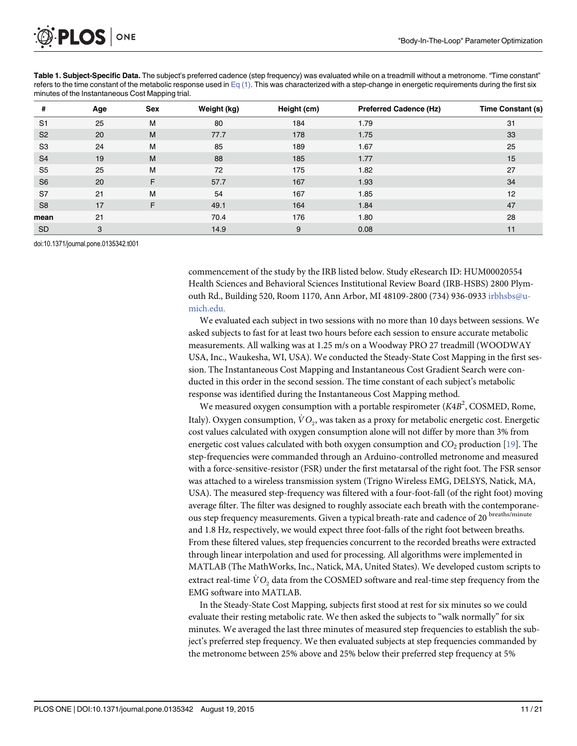<span id="page-10-0"></span>

| Table 1. Subject-Specific Data. The subject's preferred cadence (step frequency) was evaluated while on a treadmill without a metronome. "Time constant"         |
|------------------------------------------------------------------------------------------------------------------------------------------------------------------|
| refers to the time constant of the metabolic response used in $Eq(1)$ . This was characterized with a step-change in energetic requirements during the first six |
| minutes of the Instantaneous Cost Mapping trial.                                                                                                                 |

| #              | Age | Sex | Weight (kg) | Height (cm) | <b>Preferred Cadence (Hz)</b> | <b>Time Constant (s)</b> |
|----------------|-----|-----|-------------|-------------|-------------------------------|--------------------------|
| S <sub>1</sub> | 25  | M   | 80          | 184         | 1.79                          | 31                       |
| S <sub>2</sub> | 20  | M   | 77.7        | 178         | 1.75                          | 33                       |
| S <sub>3</sub> | 24  | M   | 85          | 189         | 1.67                          | 25                       |
| S <sub>4</sub> | 19  | M   | 88          | 185         | 1.77                          | 15                       |
| S <sub>5</sub> | 25  | M   | 72          | 175         | 1.82                          | 27                       |
| S <sub>6</sub> | 20  | F   | 57.7        | 167         | 1.93                          | 34                       |
| S7             | 21  | M   | 54          | 167         | 1.85                          | 12                       |
| S <sub>8</sub> | 17  | F   | 49.1        | 164         | 1.84                          | 47                       |
| mean           | 21  |     | 70.4        | 176         | 1.80                          | 28                       |
| <b>SD</b>      | 3   |     | 14.9        | 9           | 0.08                          | 11                       |

doi:10.1371/journal.pone.0135342.t001

commencement of the study by the IRB listed below. Study eResearch ID: HUM00020554 Health Sciences and Behavioral Sciences Institutional Review Board (IRB-HSBS) 2800 Plymouth Rd., Building 520, Room 1170, Ann Arbor, MI 48109-2800 (734) 936-0933 irbhsbs@umich.edu.

We evaluated each subject in two sessions with no more than 10 days between sessions. We asked subjects to fast for at least two hours before each session to ensure accurate metabolic measurements. All walking was at 1.25 m/s on a Woodway PRO 27 treadmill (WOODWAY USA, Inc., Waukesha, WI, USA). We conducted the Steady-State Cost Mapping in the first session. The Instantaneous Cost Mapping and Instantaneous Cost Gradient Search were conducted in this order in the second session. The time constant of each subject's metabolic response was identified during the Instantaneous Cost Mapping method.

We measured oxygen consumption with a portable respirometer (K4B<sup>2</sup>, COSMED, Rome, Italy). Oxygen consumption,  $VO<sub>2</sub>$ , was taken as a proxy for metabolic energetic cost. Energetic cost values calculated with oxygen consumption alone will not differ by more than 3% from energetic cost values calculated with both oxygen consumption and  $CO<sub>2</sub>$  production [\[19](#page-20-0)]. The step-frequencies were commanded through an Arduino-controlled metronome and measured with a force-sensitive-resistor (FSR) under the first metatarsal of the right foot. The FSR sensor was attached to a wireless transmission system (Trigno Wireless EMG, DELSYS, Natick, MA, USA). The measured step-frequency was filtered with a four-foot-fall (of the right foot) moving average filter. The filter was designed to roughly associate each breath with the contemporaneous step frequency measurements. Given a typical breath-rate and cadence of 20 breaths/minute and 1.8 Hz, respectively, we would expect three foot-falls of the right foot between breaths. From these filtered values, step frequencies concurrent to the recorded breaths were extracted through linear interpolation and used for processing. All algorithms were implemented in MATLAB (The MathWorks, Inc., Natick, MA, United States). We developed custom scripts to extract real-time  $\dot{V}O_2$  data from the COSMED software and real-time step frequency from the EMG software into MATLAB.

In the Steady-State Cost Mapping, subjects first stood at rest for six minutes so we could evaluate their resting metabolic rate. We then asked the subjects to "walk normally" for six minutes. We averaged the last three minutes of measured step frequencies to establish the subject's preferred step frequency. We then evaluated subjects at step frequencies commanded by the metronome between 25% above and 25% below their preferred step frequency at 5%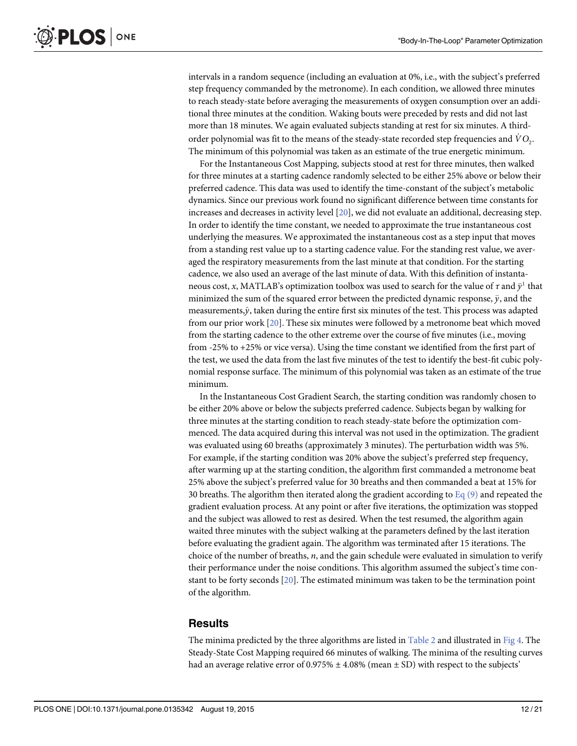<span id="page-11-0"></span>intervals in a random sequence (including an evaluation at 0%, i.e., with the subject's preferred step frequency commanded by the metronome). In each condition, we allowed three minutes to reach steady-state before averaging the measurements of oxygen consumption over an additional three minutes at the condition. Waking bouts were preceded by rests and did not last more than 18 minutes. We again evaluated subjects standing at rest for six minutes. A thirdorder polynomial was fit to the means of the steady-state recorded step frequencies and  $\dot{V}O_2$ . The minimum of this polynomial was taken as an estimate of the true energetic minimum.

For the Instantaneous Cost Mapping, subjects stood at rest for three minutes, then walked for three minutes at a starting cadence randomly selected to be either 25% above or below their preferred cadence. This data was used to identify the time-constant of the subject's metabolic dynamics. Since our previous work found no significant difference between time constants for increases and decreases in activity level  $[20]$  $[20]$  $[20]$ , we did not evaluate an additional, decreasing step. In order to identify the time constant, we needed to approximate the true instantaneous cost underlying the measures. We approximated the instantaneous cost as a step input that moves from a standing rest value up to a starting cadence value. For the standing rest value, we averaged the respiratory measurements from the last minute at that condition. For the starting cadence, we also used an average of the last minute of data. With this definition of instantaneous cost, x, MATLAB's optimization toolbox was used to search for the value of  $\tau$  and  $\bar{y}^1$  that minimized the sum of the squared error between the predicted dynamic response,  $\bar{y},$  and the measurements, $\hat{y}$ , taken during the entire first six minutes of the test. This process was adapted from our prior work [\[20\]](#page-20-0). These six minutes were followed by a metronome beat which moved from the starting cadence to the other extreme over the course of five minutes (i.e., moving from -25% to +25% or vice versa). Using the time constant we identified from the first part of the test, we used the data from the last five minutes of the test to identify the best-fit cubic polynomial response surface. The minimum of this polynomial was taken as an estimate of the true minimum.

In the Instantaneous Cost Gradient Search, the starting condition was randomly chosen to be either 20% above or below the subjects preferred cadence. Subjects began by walking for three minutes at the starting condition to reach steady-state before the optimization commenced. The data acquired during this interval was not used in the optimization. The gradient was evaluated using 60 breaths (approximately 3 minutes). The perturbation width was 5%. For example, if the starting condition was 20% above the subject's preferred step frequency, after warming up at the starting condition, the algorithm first commanded a metronome beat 25% above the subject's preferred value for 30 breaths and then commanded a beat at 15% for 30 breaths. The algorithm then iterated along the gradient according to [Eq \(9\)](#page-8-0) and repeated the gradient evaluation process. At any point or after five iterations, the optimization was stopped and the subject was allowed to rest as desired. When the test resumed, the algorithm again waited three minutes with the subject walking at the parameters defined by the last iteration before evaluating the gradient again. The algorithm was terminated after 15 iterations. The choice of the number of breaths,  $n$ , and the gain schedule were evaluated in simulation to verify their performance under the noise conditions. This algorithm assumed the subject's time constant to be forty seconds  $[20]$  $[20]$  $[20]$ . The estimated minimum was taken to be the termination point of the algorithm.

#### **Results**

The minima predicted by the three algorithms are listed in [Table 2](#page-12-0) and illustrated in [Fig 4](#page-12-0). The Steady-State Cost Mapping required 66 minutes of walking. The minima of the resulting curves had an average relative error of  $0.975\% \pm 4.08\%$  (mean  $\pm$  SD) with respect to the subjects'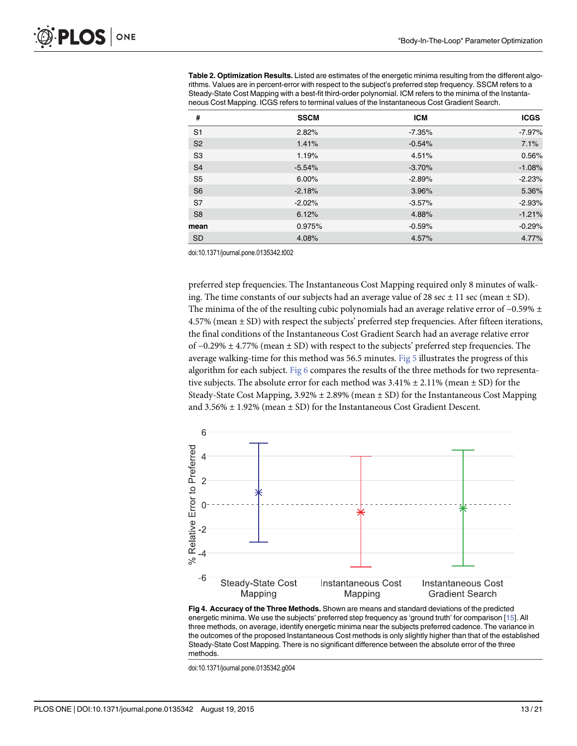<span id="page-12-0"></span>[Table 2. O](#page-11-0)ptimization Results. Listed are estimates of the energetic minima resulting from the different algorithms. Values are in percent-error with respect to the subject's preferred step frequency. SSCM refers to a Steady-State Cost Mapping with a best-fit third-order polynomial. ICM refers to the minima of the Instantaneous Cost Mapping. ICGS refers to terminal values of the Instantaneous Cost Gradient Search.

| #              | <b>SSCM</b> | <b>ICM</b> | <b>ICGS</b> |
|----------------|-------------|------------|-------------|
| S <sub>1</sub> | 2.82%       | $-7.35%$   | $-7.97%$    |
| S <sub>2</sub> | 1.41%       | $-0.54%$   | 7.1%        |
| S <sub>3</sub> | 1.19%       | 4.51%      | 0.56%       |
| S <sub>4</sub> | $-5.54%$    | $-3.70%$   | $-1.08%$    |
| S <sub>5</sub> | 6.00%       | $-2.89%$   | $-2.23%$    |
| S <sub>6</sub> | $-2.18%$    | 3.96%      | 5.36%       |
| S7             | $-2.02%$    | $-3.57\%$  | $-2.93%$    |
| S <sub>8</sub> | 6.12%       | 4.88%      | $-1.21%$    |
| mean           | 0.975%      | $-0.59%$   | $-0.29%$    |
| <b>SD</b>      | 4.08%       | 4.57%      | 4.77%       |

doi:10.1371/journal.pone.0135342.t002

preferred step frequencies. The Instantaneous Cost Mapping required only 8 minutes of walking. The time constants of our subjects had an average value of 28 sec  $\pm$  11 sec (mean  $\pm$  SD). The minima of the of the resulting cubic polynomials had an average relative error of  $-0.59\% \pm$ 4.57% (mean ± SD) with respect the subjects' preferred step frequencies. After fifteen iterations, the final conditions of the Instantaneous Cost Gradient Search had an average relative error of −0.29% ± 4.77% (mean ± SD) with respect to the subjects' preferred step frequencies. The average walking-time for this method was 56.5 minutes. Fig  $5$  illustrates the progress of this algorithm for each subject. Fig  $6$  compares the results of the three methods for two representative subjects. The absolute error for each method was  $3.41\% \pm 2.11\%$  (mean  $\pm$  SD) for the Steady-State Cost Mapping,  $3.92\% \pm 2.89\%$  (mean  $\pm$  SD) for the Instantaneous Cost Mapping and  $3.56\% \pm 1.92\%$  (mean  $\pm$  SD) for the Instantaneous Cost Gradient Descent.



[Fig 4. A](#page-11-0)ccuracy of the Three Methods. Shown are means and standard deviations of the predicted energetic minima. We use the subjects' preferred step frequency as 'ground truth' for comparison [\[15\]](#page-20-0). All three methods, on average, identify energetic minima near the subjects preferred cadence. The variance in the outcomes of the proposed Instantaneous Cost methods is only slightly higher than that of the established Steady-State Cost Mapping. There is no significant difference between the absolute error of the three methods.

doi:10.1371/journal.pone.0135342.g004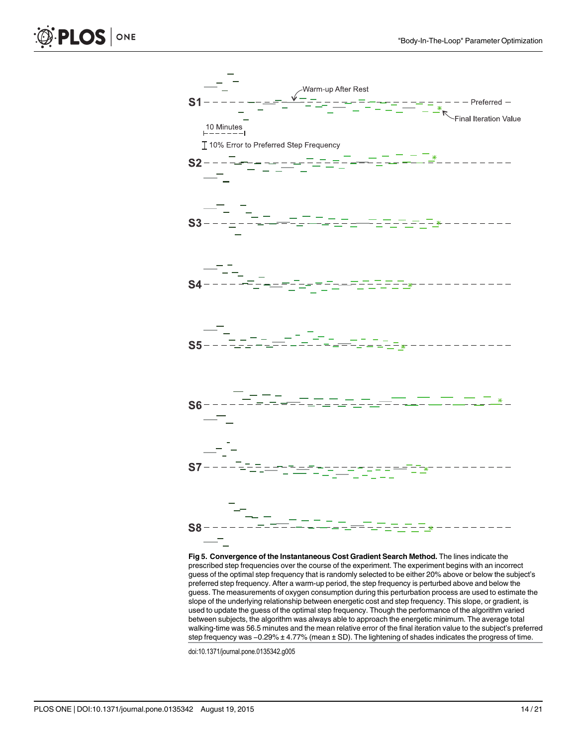<span id="page-13-0"></span>



[Fig 5. C](#page-12-0)onvergence of the Instantaneous Cost Gradient Search Method. The lines indicate the prescribed step frequencies over the course of the experiment. The experiment begins with an incorrect guess of the optimal step frequency that is randomly selected to be either 20% above or below the subject's preferred step frequency. After a warm-up period, the step frequency is perturbed above and below the guess. The measurements of oxygen consumption during this perturbation process are used to estimate the slope of the underlying relationship between energetic cost and step frequency. This slope, or gradient, is used to update the guess of the optimal step frequency. Though the performance of the algorithm varied between subjects, the algorithm was always able to approach the energetic minimum. The average total walking-time was 56.5 minutes and the mean relative error of the final iteration value to the subject's preferred step frequency was −0.29% ± 4.77% (mean ± SD). The lightening of shades indicates the progress of time.

doi:10.1371/journal.pone.0135342.g005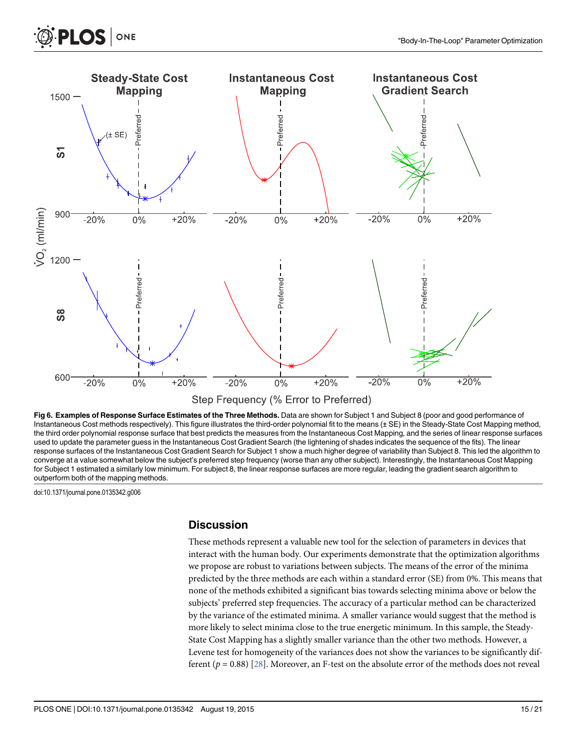<span id="page-14-0"></span>

[Fig 6. E](#page-12-0)xamples of Response Surface Estimates of the Three Methods. Data are shown for Subject 1 and Subject 8 (poor and good performance of Instantaneous Cost methods respectively). This figure illustrates the third-order polynomial fit to the means (± SE) in the Steady-State Cost Mapping method, the third order polynomial response surface that best predicts the measures from the Instantaneous Cost Mapping, and the series of linear response surfaces used to update the parameter guess in the Instantaneous Cost Gradient Search (the lightening of shades indicates the sequence of the fits). The linear response surfaces of the Instantaneous Cost Gradient Search for Subject 1 show a much higher degree of variability than Subject 8. This led the algorithm to converge at a value somewhat below the subject's preferred step frequency (worse than any other subject). Interestingly, the Instantaneous Cost Mapping for Subject 1 estimated a similarly low minimum. For subject 8, the linear response surfaces are more regular, leading the gradient search algorithm to outperform both of the mapping methods.

doi:10.1371/journal.pone.0135342.g006

**PLOS** 

ONE

#### **Discussion**

These methods represent a valuable new tool for the selection of parameters in devices that interact with the human body. Our experiments demonstrate that the optimization algorithms we propose are robust to variations between subjects. The means of the error of the minima predicted by the three methods are each within a standard error (SE) from 0%. This means that none of the methods exhibited a significant bias towards selecting minima above or below the subjects' preferred step frequencies. The accuracy of a particular method can be characterized by the variance of the estimated minima. A smaller variance would suggest that the method is more likely to select minima close to the true energetic minimum. In this sample, the Steady-State Cost Mapping has a slightly smaller variance than the other two methods. However, a Levene test for homogeneity of the variances does not show the variances to be significantly different ( $p = 0.88$ ) [[28](#page-20-0)]. Moreover, an F-test on the absolute error of the methods does not reveal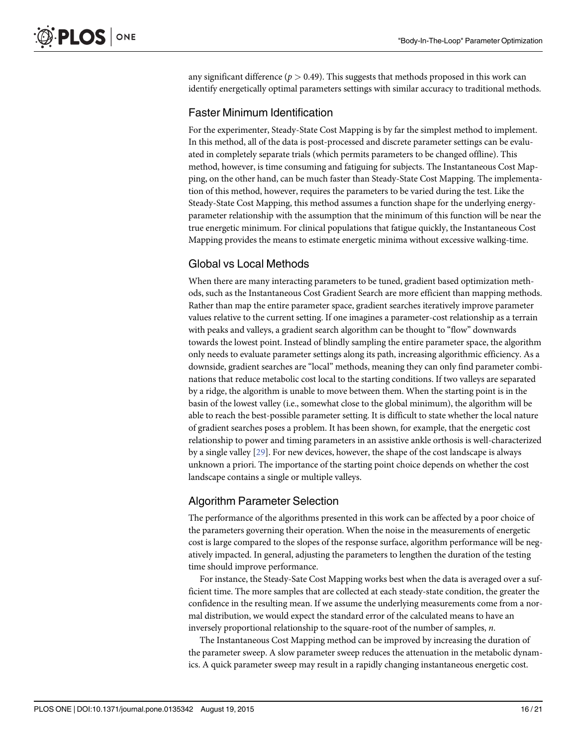<span id="page-15-0"></span>any significant difference ( $p > 0.49$ ). This suggests that methods proposed in this work can identify energetically optimal parameters settings with similar accuracy to traditional methods.

#### Faster Minimum Identification

For the experimenter, Steady-State Cost Mapping is by far the simplest method to implement. In this method, all of the data is post-processed and discrete parameter settings can be evaluated in completely separate trials (which permits parameters to be changed offline). This method, however, is time consuming and fatiguing for subjects. The Instantaneous Cost Mapping, on the other hand, can be much faster than Steady-State Cost Mapping. The implementation of this method, however, requires the parameters to be varied during the test. Like the Steady-State Cost Mapping, this method assumes a function shape for the underlying energyparameter relationship with the assumption that the minimum of this function will be near the true energetic minimum. For clinical populations that fatigue quickly, the Instantaneous Cost Mapping provides the means to estimate energetic minima without excessive walking-time.

# Global vs Local Methods

When there are many interacting parameters to be tuned, gradient based optimization methods, such as the Instantaneous Cost Gradient Search are more efficient than mapping methods. Rather than map the entire parameter space, gradient searches iteratively improve parameter values relative to the current setting. If one imagines a parameter-cost relationship as a terrain with peaks and valleys, a gradient search algorithm can be thought to "flow" downwards towards the lowest point. Instead of blindly sampling the entire parameter space, the algorithm only needs to evaluate parameter settings along its path, increasing algorithmic efficiency. As a downside, gradient searches are "local" methods, meaning they can only find parameter combinations that reduce metabolic cost local to the starting conditions. If two valleys are separated by a ridge, the algorithm is unable to move between them. When the starting point is in the basin of the lowest valley (i.e., somewhat close to the global minimum), the algorithm will be able to reach the best-possible parameter setting. It is difficult to state whether the local nature of gradient searches poses a problem. It has been shown, for example, that the energetic cost relationship to power and timing parameters in an assistive ankle orthosis is well-characterized by a single valley [[29](#page-20-0)]. For new devices, however, the shape of the cost landscape is always unknown a priori. The importance of the starting point choice depends on whether the cost landscape contains a single or multiple valleys.

# Algorithm Parameter Selection

The performance of the algorithms presented in this work can be affected by a poor choice of the parameters governing their operation. When the noise in the measurements of energetic cost is large compared to the slopes of the response surface, algorithm performance will be negatively impacted. In general, adjusting the parameters to lengthen the duration of the testing time should improve performance.

For instance, the Steady-Sate Cost Mapping works best when the data is averaged over a sufficient time. The more samples that are collected at each steady-state condition, the greater the confidence in the resulting mean. If we assume the underlying measurements come from a normal distribution, we would expect the standard error of the calculated means to have an inversely proportional relationship to the square-root of the number of samples,  $n$ .

The Instantaneous Cost Mapping method can be improved by increasing the duration of the parameter sweep. A slow parameter sweep reduces the attenuation in the metabolic dynamics. A quick parameter sweep may result in a rapidly changing instantaneous energetic cost.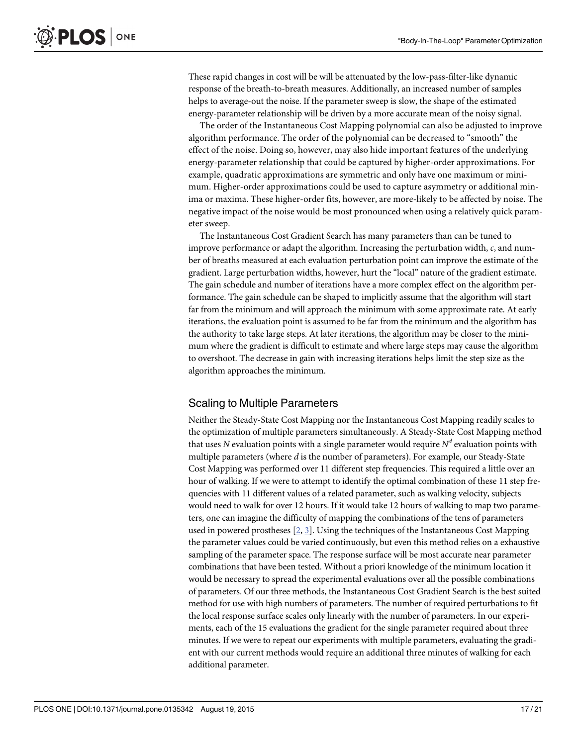These rapid changes in cost will be will be attenuated by the low-pass-filter-like dynamic response of the breath-to-breath measures. Additionally, an increased number of samples helps to average-out the noise. If the parameter sweep is slow, the shape of the estimated energy-parameter relationship will be driven by a more accurate mean of the noisy signal.

The order of the Instantaneous Cost Mapping polynomial can also be adjusted to improve algorithm performance. The order of the polynomial can be decreased to "smooth" the effect of the noise. Doing so, however, may also hide important features of the underlying energy-parameter relationship that could be captured by higher-order approximations. For example, quadratic approximations are symmetric and only have one maximum or minimum. Higher-order approximations could be used to capture asymmetry or additional minima or maxima. These higher-order fits, however, are more-likely to be affected by noise. The negative impact of the noise would be most pronounced when using a relatively quick parameter sweep.

The Instantaneous Cost Gradient Search has many parameters than can be tuned to improve performance or adapt the algorithm. Increasing the perturbation width, c, and number of breaths measured at each evaluation perturbation point can improve the estimate of the gradient. Large perturbation widths, however, hurt the "local" nature of the gradient estimate. The gain schedule and number of iterations have a more complex effect on the algorithm performance. The gain schedule can be shaped to implicitly assume that the algorithm will start far from the minimum and will approach the minimum with some approximate rate. At early iterations, the evaluation point is assumed to be far from the minimum and the algorithm has the authority to take large steps. At later iterations, the algorithm may be closer to the minimum where the gradient is difficult to estimate and where large steps may cause the algorithm to overshoot. The decrease in gain with increasing iterations helps limit the step size as the algorithm approaches the minimum.

#### Scaling to Multiple Parameters

Neither the Steady-State Cost Mapping nor the Instantaneous Cost Mapping readily scales to the optimization of multiple parameters simultaneously. A Steady-State Cost Mapping method that uses N evaluation points with a single parameter would require  $N<sup>d</sup>$  evaluation points with multiple parameters (where  $d$  is the number of parameters). For example, our Steady-State Cost Mapping was performed over 11 different step frequencies. This required a little over an hour of walking. If we were to attempt to identify the optimal combination of these 11 step frequencies with 11 different values of a related parameter, such as walking velocity, subjects would need to walk for over 12 hours. If it would take 12 hours of walking to map two parameters, one can imagine the difficulty of mapping the combinations of the tens of parameters used in powered prostheses [\[2](#page-19-0), [3](#page-19-0)]. Using the techniques of the Instantaneous Cost Mapping the parameter values could be varied continuously, but even this method relies on a exhaustive sampling of the parameter space. The response surface will be most accurate near parameter combinations that have been tested. Without a priori knowledge of the minimum location it would be necessary to spread the experimental evaluations over all the possible combinations of parameters. Of our three methods, the Instantaneous Cost Gradient Search is the best suited method for use with high numbers of parameters. The number of required perturbations to fit the local response surface scales only linearly with the number of parameters. In our experiments, each of the 15 evaluations the gradient for the single parameter required about three minutes. If we were to repeat our experiments with multiple parameters, evaluating the gradient with our current methods would require an additional three minutes of walking for each additional parameter.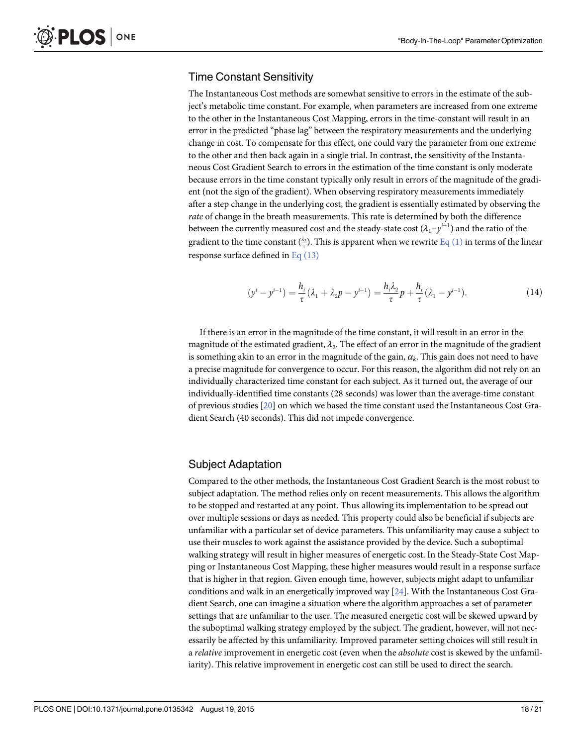#### Time Constant Sensitivity

The Instantaneous Cost methods are somewhat sensitive to errors in the estimate of the subject's metabolic time constant. For example, when parameters are increased from one extreme to the other in the Instantaneous Cost Mapping, errors in the time-constant will result in an error in the predicted "phase lag" between the respiratory measurements and the underlying change in cost. To compensate for this effect, one could vary the parameter from one extreme to the other and then back again in a single trial. In contrast, the sensitivity of the Instantaneous Cost Gradient Search to errors in the estimation of the time constant is only moderate because errors in the time constant typically only result in errors of the magnitude of the gradient (not the sign of the gradient). When observing respiratory measurements immediately after a step change in the underlying cost, the gradient is essentially estimated by observing the rate of change in the breath measurements. This rate is determined by both the difference between the currently measured cost and the steady-state cost  $(\lambda_1 - y^{i-1})$  and the ratio of the gradient to the time constant  $\binom{22}{7}$ . This is apparent when we rewrite <u>[Eq \(1\)](#page-6-0)</u> in terms of the linear response surface defined in  $Eq(13)$ 

$$
(y^{i} - y^{i-1}) = \frac{h_i}{\tau} (\lambda_1 + \lambda_2 p - y^{i-1}) = \frac{h_i \lambda_2}{\tau} p + \frac{h_i}{\tau} (\lambda_1 - y^{i-1}).
$$
 (14)

If there is an error in the magnitude of the time constant, it will result in an error in the magnitude of the estimated gradient,  $\lambda_2$ . The effect of an error in the magnitude of the gradient is something akin to an error in the magnitude of the gain,  $\alpha_k$ . This gain does not need to have a precise magnitude for convergence to occur. For this reason, the algorithm did not rely on an individually characterized time constant for each subject. As it turned out, the average of our individually-identified time constants (28 seconds) was lower than the average-time constant of previous studies [[20](#page-20-0)] on which we based the time constant used the Instantaneous Cost Gradient Search (40 seconds). This did not impede convergence.

#### Subject Adaptation

Compared to the other methods, the Instantaneous Cost Gradient Search is the most robust to subject adaptation. The method relies only on recent measurements. This allows the algorithm to be stopped and restarted at any point. Thus allowing its implementation to be spread out over multiple sessions or days as needed. This property could also be beneficial if subjects are unfamiliar with a particular set of device parameters. This unfamiliarity may cause a subject to use their muscles to work against the assistance provided by the device. Such a suboptimal walking strategy will result in higher measures of energetic cost. In the Steady-State Cost Mapping or Instantaneous Cost Mapping, these higher measures would result in a response surface that is higher in that region. Given enough time, however, subjects might adapt to unfamiliar conditions and walk in an energetically improved way  $[24]$  $[24]$  $[24]$ . With the Instantaneous Cost Gradient Search, one can imagine a situation where the algorithm approaches a set of parameter settings that are unfamiliar to the user. The measured energetic cost will be skewed upward by the suboptimal walking strategy employed by the subject. The gradient, however, will not necessarily be affected by this unfamiliarity. Improved parameter setting choices will still result in a *relative* improvement in energetic cost (even when the *absolute* cost is skewed by the unfamiliarity). This relative improvement in energetic cost can still be used to direct the search.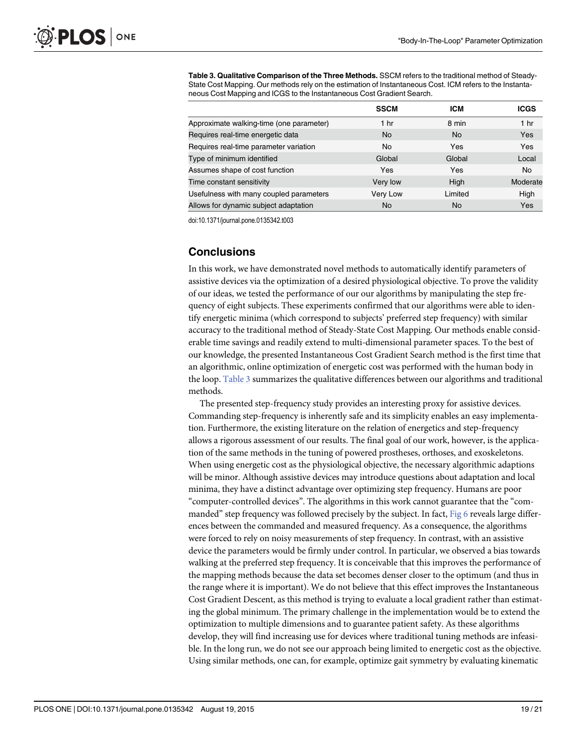Table 3. Qualitative Comparison of the Three Methods. SSCM refers to the traditional method of Steady-State Cost Mapping. Our methods rely on the estimation of Instantaneous Cost. ICM refers to the Instantaneous Cost Mapping and ICGS to the Instantaneous Cost Gradient Search.

|                                          | <b>SSCM</b>     | <b>ICM</b> | <b>ICGS</b>     |
|------------------------------------------|-----------------|------------|-----------------|
| Approximate walking-time (one parameter) | 1 <sub>hr</sub> | 8 min      | 1 <sub>hr</sub> |
| Requires real-time energetic data        | No.             | <b>No</b>  | Yes             |
| Requires real-time parameter variation   | No              | Yes        | Yes             |
| Type of minimum identified               | Global          | Global     | Local           |
| Assumes shape of cost function           | Yes             | <b>Yes</b> | No              |
| Time constant sensitivity                | Very low        | High       | Moderate        |
| Usefulness with many coupled parameters  | Very Low        | Limited    | High            |
| Allows for dynamic subject adaptation    | <b>No</b>       | No         | Yes             |

doi:10.1371/journal.pone.0135342.t003

#### **Conclusions**

In this work, we have demonstrated novel methods to automatically identify parameters of assistive devices via the optimization of a desired physiological objective. To prove the validity of our ideas, we tested the performance of our our algorithms by manipulating the step frequency of eight subjects. These experiments confirmed that our algorithms were able to identify energetic minima (which correspond to subjects' preferred step frequency) with similar accuracy to the traditional method of Steady-State Cost Mapping. Our methods enable considerable time savings and readily extend to multi-dimensional parameter spaces. To the best of our knowledge, the presented Instantaneous Cost Gradient Search method is the first time that an algorithmic, online optimization of energetic cost was performed with the human body in the loop. Table 3 summarizes the qualitative differences between our algorithms and traditional methods.

The presented step-frequency study provides an interesting proxy for assistive devices. Commanding step-frequency is inherently safe and its simplicity enables an easy implementation. Furthermore, the existing literature on the relation of energetics and step-frequency allows a rigorous assessment of our results. The final goal of our work, however, is the application of the same methods in the tuning of powered prostheses, orthoses, and exoskeletons. When using energetic cost as the physiological objective, the necessary algorithmic adaptions will be minor. Although assistive devices may introduce questions about adaptation and local minima, they have a distinct advantage over optimizing step frequency. Humans are poor "computer-controlled devices". The algorithms in this work cannot guarantee that the "com-manded" step frequency was followed precisely by the subject. In fact, [Fig 6](#page-14-0) reveals large differences between the commanded and measured frequency. As a consequence, the algorithms were forced to rely on noisy measurements of step frequency. In contrast, with an assistive device the parameters would be firmly under control. In particular, we observed a bias towards walking at the preferred step frequency. It is conceivable that this improves the performance of the mapping methods because the data set becomes denser closer to the optimum (and thus in the range where it is important). We do not believe that this effect improves the Instantaneous Cost Gradient Descent, as this method is trying to evaluate a local gradient rather than estimating the global minimum. The primary challenge in the implementation would be to extend the optimization to multiple dimensions and to guarantee patient safety. As these algorithms develop, they will find increasing use for devices where traditional tuning methods are infeasible. In the long run, we do not see our approach being limited to energetic cost as the objective. Using similar methods, one can, for example, optimize gait symmetry by evaluating kinematic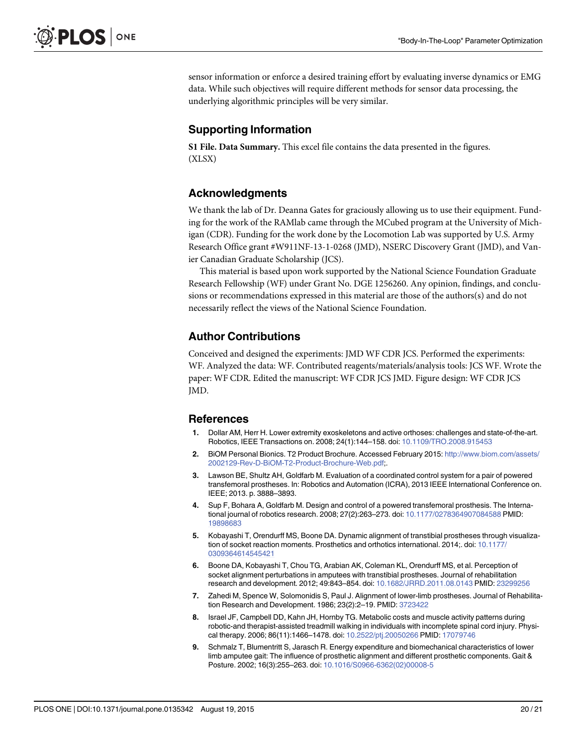<span id="page-19-0"></span>sensor information or enforce a desired training effort by evaluating inverse dynamics or EMG data. While such objectives will require different methods for sensor data processing, the underlying algorithmic principles will be very similar.

# Supporting Information

[S1 File.](http://www.plosone.org/article/fetchSingleRepresentation.action?uri=info:doi/10.1371/journal.pone.0135342.s001) Data Summary. This excel file contains the data presented in the figures. (XLSX)

# Acknowledgments

We thank the lab of Dr. Deanna Gates for graciously allowing us to use their equipment. Funding for the work of the RAMlab came through the MCubed program at the University of Michigan (CDR). Funding for the work done by the Locomotion Lab was supported by U.S. Army Research Office grant #W911NF-13-1-0268 (JMD), NSERC Discovery Grant (JMD), and Vanier Canadian Graduate Scholarship (JCS).

This material is based upon work supported by the National Science Foundation Graduate Research Fellowship (WF) under Grant No. DGE 1256260. Any opinion, findings, and conclusions or recommendations expressed in this material are those of the authors(s) and do not necessarily reflect the views of the National Science Foundation.

#### Author Contributions

Conceived and designed the experiments: JMD WF CDR JCS. Performed the experiments: WF. Analyzed the data: WF. Contributed reagents/materials/analysis tools: JCS WF. Wrote the paper: WF CDR. Edited the manuscript: WF CDR JCS JMD. Figure design: WF CDR JCS JMD.

#### References

- [1.](#page-1-0) Dollar AM, Herr H. Lower extremity exoskeletons and active orthoses: challenges and state-of-the-art. Robotics, IEEE Transactions on. 2008; 24(1):144–158. doi: [10.1109/TRO.2008.915453](http://dx.doi.org/10.1109/TRO.2008.915453)
- [2.](#page-1-0) BiOM Personal Bionics. T2 Product Brochure. Accessed February 2015: [http://www.biom.com/assets/](http://www.biom.com/assets/2002129-Rev-D-BiOM-T2-Product-Brochure-Web.pdf) [2002129-Rev-D-BiOM-T2-Product-Brochure-Web.pdf](http://www.biom.com/assets/2002129-Rev-D-BiOM-T2-Product-Brochure-Web.pdf);.
- [3.](#page-1-0) Lawson BE, Shultz AH, Goldfarb M. Evaluation of a coordinated control system for a pair of powered transfemoral prostheses. In: Robotics and Automation (ICRA), 2013 IEEE International Conference on. IEEE; 2013. p. 3888–3893.
- [4.](#page-1-0) Sup F, Bohara A, Goldfarb M. Design and control of a powered transfemoral prosthesis. The International journal of robotics research. 2008; 27(2):263–273. doi: [10.1177/0278364907084588](http://dx.doi.org/10.1177/0278364907084588) PMID: [19898683](http://www.ncbi.nlm.nih.gov/pubmed/19898683)
- [5.](#page-1-0) Kobayashi T, Orendurff MS, Boone DA. Dynamic alignment of transtibial prostheses through visualiza-tion of socket reaction moments. Prosthetics and orthotics international. 2014;. doi: [10.1177/](http://dx.doi.org/10.1177/0309364614545421) [0309364614545421](http://dx.doi.org/10.1177/0309364614545421)
- [6.](#page-1-0) Boone DA, Kobayashi T, Chou TG, Arabian AK, Coleman KL, Orendurff MS, et al. Perception of socket alignment perturbations in amputees with transtibial prostheses. Journal of rehabilitation research and development. 2012; 49:843–854. doi: [10.1682/JRRD.2011.08.0143](http://dx.doi.org/10.1682/JRRD.2011.08.0143) PMID: [23299256](http://www.ncbi.nlm.nih.gov/pubmed/23299256)
- [7.](#page-1-0) Zahedi M, Spence W, Solomonidis S, Paul J. Alignment of lower-limb prostheses. Journal of Rehabilitation Research and Development. 1986; 23(2):2–19. PMID: [3723422](http://www.ncbi.nlm.nih.gov/pubmed/3723422)
- [8.](#page-1-0) Israel JF, Campbell DD, Kahn JH, Hornby TG. Metabolic costs and muscle activity patterns during robotic-and therapist-assisted treadmill walking in individuals with incomplete spinal cord injury. Physical therapy. 2006; 86(11):1466–1478. doi: [10.2522/ptj.20050266](http://dx.doi.org/10.2522/ptj.20050266) PMID: [17079746](http://www.ncbi.nlm.nih.gov/pubmed/17079746)
- 9. Schmalz T, Blumentritt S, Jarasch R. Energy expenditure and biomechanical characteristics of lower limb amputee gait: The influence of prosthetic alignment and different prosthetic components. Gait & Posture. 2002; 16(3):255–263. doi: [10.1016/S0966-6362\(02\)00008-5](http://dx.doi.org/10.1016/S0966-6362(02)00008-5)